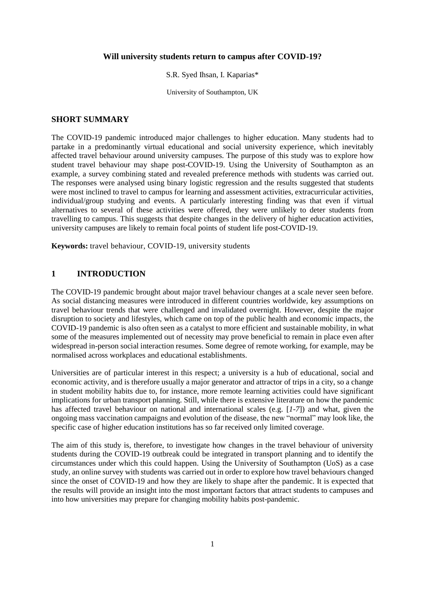#### **Will university students return to campus after COVID-19?**

#### S.R. Syed Ihsan, I. Kaparias\*

University of Southampton, UK

#### **SHORT SUMMARY**

The COVID-19 pandemic introduced major challenges to higher education. Many students had to partake in a predominantly virtual educational and social university experience, which inevitably affected travel behaviour around university campuses. The purpose of this study was to explore how student travel behaviour may shape post-COVID-19. Using the University of Southampton as an example, a survey combining stated and revealed preference methods with students was carried out. The responses were analysed using binary logistic regression and the results suggested that students were most inclined to travel to campus for learning and assessment activities, extracurricular activities, individual/group studying and events. A particularly interesting finding was that even if virtual alternatives to several of these activities were offered, they were unlikely to deter students from travelling to campus. This suggests that despite changes in the delivery of higher education activities, university campuses are likely to remain focal points of student life post-COVID-19.

**Keywords:** travel behaviour, COVID-19, university students

# **1 INTRODUCTION**

The COVID-19 pandemic brought about major travel behaviour changes at a scale never seen before. As social distancing measures were introduced in different countries worldwide, key assumptions on travel behaviour trends that were challenged and invalidated overnight. However, despite the major disruption to society and lifestyles, which came on top of the public health and economic impacts, the COVID-19 pandemic is also often seen as a catalyst to more efficient and sustainable mobility, in what some of the measures implemented out of necessity may prove beneficial to remain in place even after widespread in-person social interaction resumes. Some degree of remote working, for example, may be normalised across workplaces and educational establishments.

Universities are of particular interest in this respect; a university is a hub of educational, social and economic activity, and is therefore usually a major generator and attractor of trips in a city, so a change in student mobility habits due to, for instance, more remote learning activities could have significant implications for urban transport planning. Still, while there is extensive literature on how the pandemic has affected travel behaviour on national and international scales (e.g. [*1*-*7*]) and what, given the ongoing mass vaccination campaigns and evolution of the disease, the new "normal" may look like, the specific case of higher education institutions has so far received only limited coverage.

The aim of this study is, therefore, to investigate how changes in the travel behaviour of university students during the COVID-19 outbreak could be integrated in transport planning and to identify the circumstances under which this could happen. Using the University of Southampton (UoS) as a case study, an online survey with students was carried out in order to explore how travel behaviours changed since the onset of COVID-19 and how they are likely to shape after the pandemic. It is expected that the results will provide an insight into the most important factors that attract students to campuses and into how universities may prepare for changing mobility habits post-pandemic.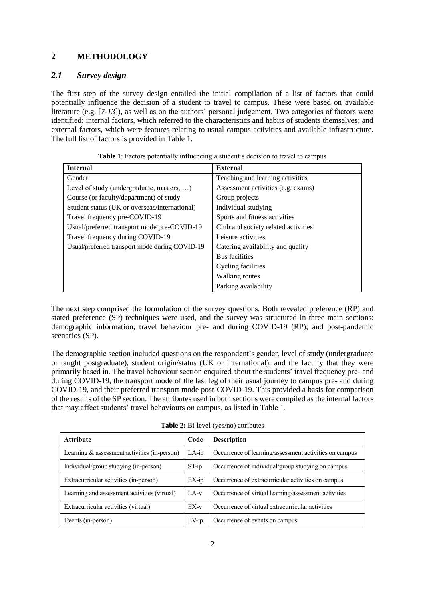# **2 METHODOLOGY**

## *2.1 Survey design*

The first step of the survey design entailed the initial compilation of a list of factors that could potentially influence the decision of a student to travel to campus. These were based on available literature (e.g. [*7*-*13*]), as well as on the authors' personal judgement. Two categories of factors were identified: internal factors, which referred to the characteristics and habits of students themselves; and external factors, which were features relating to usual campus activities and available infrastructure. The full list of factors is provided in Table 1.

| <b>Internal</b>                                   | <b>External</b>                     |
|---------------------------------------------------|-------------------------------------|
| Gender                                            | Teaching and learning activities    |
| Level of study (undergraduate, masters, $\dots$ ) | Assessment activities (e.g. exams)  |
| Course (or faculty/department) of study           | Group projects                      |
| Student status (UK or overseas/international)     | Individual studying                 |
| Travel frequency pre-COVID-19                     | Sports and fitness activities       |
| Usual/preferred transport mode pre-COVID-19       | Club and society related activities |
| Travel frequency during COVID-19                  | Leisure activities                  |
| Usual/preferred transport mode during COVID-19    | Catering availability and quality   |
|                                                   | Bus facilities                      |
|                                                   | Cycling facilities                  |
|                                                   | Walking routes                      |
|                                                   | Parking availability                |

|  |  | Table 1: Factors potentially influencing a student's decision to travel to campus |
|--|--|-----------------------------------------------------------------------------------|
|  |  |                                                                                   |

The next step comprised the formulation of the survey questions. Both revealed preference (RP) and stated preference (SP) techniques were used, and the survey was structured in three main sections: demographic information; travel behaviour pre- and during COVID-19 (RP); and post-pandemic scenarios (SP).

The demographic section included questions on the respondent's gender, level of study (undergraduate or taught postgraduate), student origin/status (UK or international), and the faculty that they were primarily based in. The travel behaviour section enquired about the students' travel frequency pre- and during COVID-19, the transport mode of the last leg of their usual journey to campus pre- and during COVID-19, and their preferred transport mode post-COVID-19. This provided a basis for comparison of the results of the SP section. The attributes used in both sections were compiled as the internal factors that may affect students' travel behaviours on campus, as listed in Table 1.

| <b>Attribute</b>                               | Code     | <b>Description</b>                                     |
|------------------------------------------------|----------|--------------------------------------------------------|
| Learning $&$ assessment activities (in-person) | $LA$ -ip | Occurrence of learning/assessment activities on campus |
| Individual/group studying (in-person)          | $ST$ -ip | Occurrence of individual/group studying on campus      |
| Extracurricular activities (in-person)         | $EX$ -ip | Occurrence of extracurricular activities on campus     |
| Learning and assessment activities (virtual)   | $LA-v$   | Occurrence of virtual learning/assessment activities   |
| Extracurricular activities (virtual)           | $EX-v$   | Occurrence of virtual extracurricular activities       |
| Events (in-person)                             | $EV$ -ip | Occurrence of events on campus                         |

**Table 2:** Bi-level (yes/no) attributes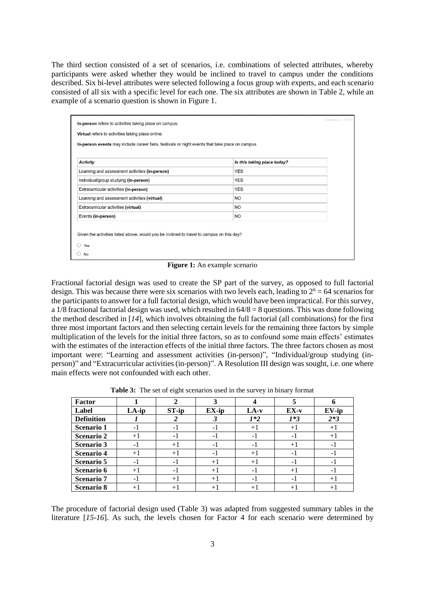The third section consisted of a set of scenarios, i.e. combinations of selected attributes, whereby participants were asked whether they would be inclined to travel to campus under the conditions described. Six bi-level attributes were selected following a focus group with experts, and each scenario consisted of all six with a specific level for each one. The six attributes are shown in Table 2, while an example of a scenario question is shown in Figure 1.

| <b>Activity</b>                                | Is this taking place today? |  |
|------------------------------------------------|-----------------------------|--|
| Learning and assessment activities (in-person) | <b>YES</b>                  |  |
| Individual/group studying (in-person)          | <b>YES</b>                  |  |
| Extracurricular activities (in-person)         | <b>YES</b>                  |  |
| Learning and assessment activities (virtual)   | <b>NO</b>                   |  |
| Extracurricular activities (virtual)           | <b>NO</b>                   |  |
| Events (in-person)                             | <b>NO</b>                   |  |

**Figure 1:** An example scenario

Fractional factorial design was used to create the SP part of the survey, as opposed to full factorial design. This was because there were six scenarios with two levels each, leading to  $2^6 = 64$  scenarios for the participants to answer for a full factorial design, which would have been impractical. For this survey, a 1/8 fractional factorial design was used, which resulted in  $64/8 = 8$  questions. This was done following the method described in [*14*], which involves obtaining the full factorial (all combinations) for the first three most important factors and then selecting certain levels for the remaining three factors by simple multiplication of the levels for the initial three factors, so as to confound some main effects' estimates with the estimates of the interaction effects of the initial three factors. The three factors chosen as most important were: "Learning and assessment activities (in-person)", "Individual/group studying (inperson)" and "Extracurricular activities (in-person)". A Resolution III design was sought, i.e. one where main effects were not confounded with each other.

**Table 3:** The set of eight scenarios used in the survey in binary format

| Factor            |       |                    |       |        |        |          |
|-------------------|-------|--------------------|-------|--------|--------|----------|
| Label             | LA-ip | $ST$ -ip           | EX-ip | $LA-v$ | $EX-v$ | $EV$ -ip |
| <b>Definition</b> |       |                    |       | $1*2$  | $1*3$  | $2*3$    |
| <b>Scenario 1</b> | $-1$  | - 1                | - 1   | $+1$   | $+1$   | $+1$     |
| <b>Scenario 2</b> | $+1$  | - 1                | -1    | - 1    | - 1    | $+1$     |
| <b>Scenario 3</b> | $-1$  | $+1$               | - 1   | - 1    | $+$    | - 1      |
| <b>Scenario 4</b> | $+1$  | $+1$               | - 1   | $+1$   | - 1    | - 1      |
| <b>Scenario 5</b> | $-1$  | -1                 | $+1$  | $+1$   | - 1    | - 1      |
| Scenario 6        | $+1$  | - 1                | $+1$  | - 1    | $+$    |          |
| <b>Scenario</b> 7 | $-1$  | $+1$               | $+1$  | - 1    | - 1    | $+1$     |
| <b>Scenario 8</b> | $+$   | $+$ $\overline{ }$ | $+1$  | $+$    | $^{+}$ | $+1$     |

The procedure of factorial design used (Table 3) was adapted from suggested summary tables in the literature [*15*-*16*]. As such, the levels chosen for Factor 4 for each scenario were determined by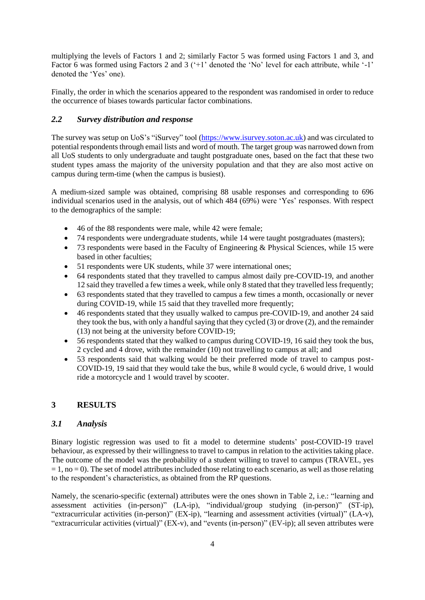multiplying the levels of Factors 1 and 2; similarly Factor 5 was formed using Factors 1 and 3, and Factor 6 was formed using Factors 2 and 3 ('+1' denoted the 'No' level for each attribute, while '-1' denoted the 'Yes' one).

Finally, the order in which the scenarios appeared to the respondent was randomised in order to reduce the occurrence of biases towards particular factor combinations.

# *2.2 Survey distribution and response*

The survey was setup on UoS's "iSurvey" tool [\(https://www.isurvey.soton.ac.uk\)](https://www.isurvey.soton.ac.uk/) and was circulated to potential respondents through email lists and word of mouth. The target group was narrowed down from all UoS students to only undergraduate and taught postgraduate ones, based on the fact that these two student types amass the majority of the university population and that they are also most active on campus during term-time (when the campus is busiest).

A medium-sized sample was obtained, comprising 88 usable responses and corresponding to 696 individual scenarios used in the analysis, out of which 484 (69%) were 'Yes' responses. With respect to the demographics of the sample:

- 46 of the 88 respondents were male, while 42 were female;
- 74 respondents were undergraduate students, while 14 were taught postgraduates (masters);
- 73 respondents were based in the Faculty of Engineering & Physical Sciences, while 15 were based in other faculties;
- 51 respondents were UK students, while 37 were international ones;
- 64 respondents stated that they travelled to campus almost daily pre-COVID-19, and another 12 said they travelled a few times a week, while only 8 stated that they travelled less frequently;
- 63 respondents stated that they travelled to campus a few times a month, occasionally or never during COVID-19, while 15 said that they travelled more frequently;
- 46 respondents stated that they usually walked to campus pre-COVID-19, and another 24 said they took the bus, with only a handful saying that they cycled (3) or drove (2), and the remainder (13) not being at the university before COVID-19;
- 56 respondents stated that they walked to campus during COVID-19, 16 said they took the bus, 2 cycled and 4 drove, with the remainder (10) not travelling to campus at all; and
- 53 respondents said that walking would be their preferred mode of travel to campus post-COVID-19, 19 said that they would take the bus, while 8 would cycle, 6 would drive, 1 would ride a motorcycle and 1 would travel by scooter.

## **3 RESULTS**

### *3.1 Analysis*

Binary logistic regression was used to fit a model to determine students' post-COVID-19 travel behaviour, as expressed by their willingness to travel to campus in relation to the activities taking place. The outcome of the model was the probability of a student willing to travel to campus (TRAVEL, yes  $= 1$ , no  $= 0$ ). The set of model attributes included those relating to each scenario, as well as those relating to the respondent's characteristics, as obtained from the RP questions.

Namely, the scenario-specific (external) attributes were the ones shown in Table 2, i.e.: "learning and assessment activities (in-person)" (LA-ip), "individual/group studying (in-person)" (ST-ip), "extracurricular activities (in-person)" (EX-ip), "learning and assessment activities (virtual)" (LA-v), "extracurricular activities (virtual)" (EX-v), and "events (in-person)" (EV-ip); all seven attributes were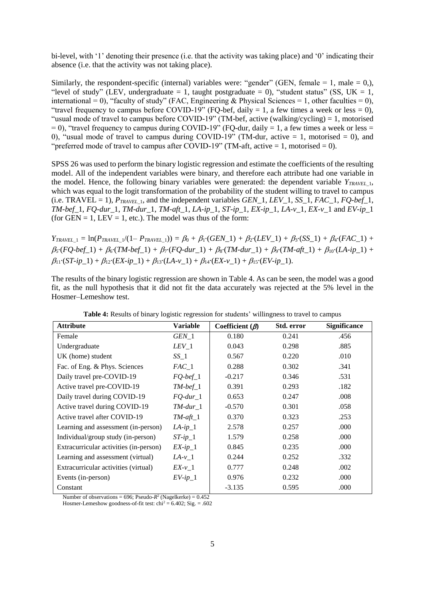bi-level, with '1' denoting their presence (i.e. that the activity was taking place) and '0' indicating their absence (i.e. that the activity was not taking place).

Similarly, the respondent-specific (internal) variables were: "gender" (GEN, female = 1, male = 0,), "level of study" (LEV, undergraduate = 1, taught postgraduate = 0), "student status" (SS, UK = 1, international = 0), "faculty of study" (FAC, Engineering & Physical Sciences = 1, other faculties = 0), "travel frequency to campus before COVID-19" (FQ-bef, daily  $= 1$ , a few times a week or less  $= 0$ ), "usual mode of travel to campus before COVID-19" (TM-bef, active (walking/cycling) = 1, motorised = 0), "travel frequency to campus during COVID-19" (FQ-dur, daily = 1, a few times a week or less = 0), "usual mode of travel to campus during COVID-19" (TM-dur, active  $= 1$ , motorised  $= 0$ ), and "preferred mode of travel to campus after COVID-19" (TM-aft, active  $= 1$ , motorised  $= 0$ ).

SPSS 26 was used to perform the binary logistic regression and estimate the coefficients of the resulting model. All of the independent variables were binary, and therefore each attribute had one variable in the model. Hence, the following binary variables were generated: the dependent variable  $Y_{TRAVEL}$ <sub>1</sub>, which was equal to the logit transformation of the probability of the student willing to travel to campus  $(i.e.$  TRAVEL = 1),  $P_{TRAVFL}$ <sub>1</sub>, and the independent variables *GEN* 1, *LEV* 1, *SS* 1, *FAC* 1, *FO-bef* 1, *TM-bef\_*1, *FQ-dur\_*1, *TM-dur\_*1, *TM-aft\_*1, *LA-ip\_*1, *ST-ip\_*1, *EX-ip\_*1, *LA-v\_*1, *EX-v\_*1 and *EV-ip\_*1 (for  $GEN = 1$ ,  $LEV = 1$ , etc.). The model was thus of the form:

 $Y_{\text{TRAVEL}\_1} = \ln(P_{\text{TRAVEL}\_1}/(1 - P_{\text{TRAVEL}\_1})) = \beta_0 + \beta_1 \cdot (GEN\_1) + \beta_2 \cdot (LEV\_1) + \beta_3 \cdot (SS\_1) + \beta_4 \cdot (FAC\_1) +$  $\beta_5 \cdot (FQ \cdot be \cdot f_1) + \beta_6 \cdot (TM \cdot be \cdot f_1) + \beta_7 \cdot (FQ \cdot dur_1) + \beta_8 \cdot (TM \cdot dur_1) + \beta_9 \cdot (TM \cdot af_1) + \beta_{10} \cdot (LA \cdot ip_1) +$  $\beta_{11}(ST-ip_1) + \beta_{12}(EX-ip_1) + \beta_{13}(LA-v_1) + \beta_{14}(EX-v_1) + \beta_{15}(EV-ip_1).$ 

The results of the binary logistic regression are shown in Table 4. As can be seen, the model was a good fit, as the null hypothesis that it did not fit the data accurately was rejected at the 5% level in the Hosmer–Lemeshow test.

| <b>Attribute</b>                       | Variable           | Coefficient $(\beta)$ | Std. error | <b>Significance</b> |
|----------------------------------------|--------------------|-----------------------|------------|---------------------|
| Female                                 | $GEN_1$            | 0.180                 | 0.241      | .456                |
| Undergraduate                          | $LEV_1$            | 0.043                 | 0.298      | .885                |
| UK (home) student                      | $SS_1$             | 0.567                 | 0.220      | .010                |
| Fac. of Eng. & Phys. Sciences          | $FAC\_1$           | 0.288                 | 0.302      | .341                |
| Daily travel pre-COVID-19              | $FQ\text{-}bef\_1$ | $-0.217$              | 0.346      | .531                |
| Active travel pre-COVID-19             | $TM-bef_1$         | 0.391                 | 0.293      | .182                |
| Daily travel during COVID-19           | $FQ$ -dur_1        | 0.653                 | 0.247      | .008                |
| Active travel during COVID-19          | $TM$ -dur $\_1$    | $-0.570$              | 0.301      | .058                |
| Active travel after COVID-19           | $TM$ -aft_1        | 0.370                 | 0.323      | .253                |
| Learning and assessment (in-person)    | $LA$ -ip_1         | 2.578                 | 0.257      | .000                |
| Individual/group study (in-person)     | $ST$ -ip_1         | 1.579                 | 0.258      | .000                |
| Extracurricular activities (in-person) | $EX$ -ip_1         | 0.845                 | 0.235      | .000                |
| Learning and assessment (virtual)      | $LA-v_1$           | 0.244                 | 0.252      | .332                |
| Extracurricular activities (virtual)   | $EX-v_1$           | 0.777                 | 0.248      | .002                |
| Events (in-person)                     | $EV$ -ip_1         | 0.976                 | 0.232      | .000                |
| Constant                               |                    | $-3.135$              | 0.595      | .000                |

**Table 4:** Results of binary logistic regression for students' willingness to travel to campus

Number of observations =  $696$ ; Pseudo- $R^2$  (Nagelkerke) =  $0.452$ 

Hosmer-Lemeshow goodness-of-fit test:  $\text{chi}^2 = 6.402$ ; Sig. = .602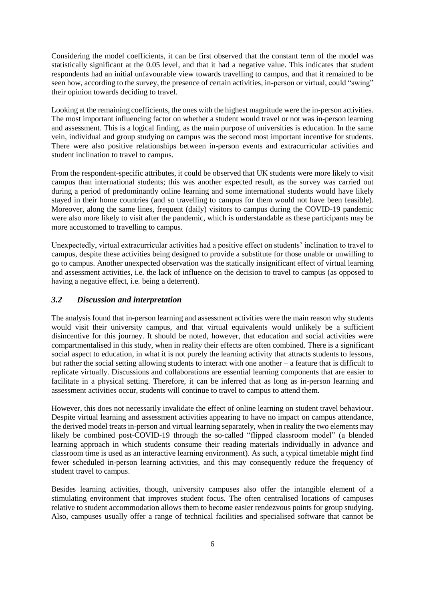Considering the model coefficients, it can be first observed that the constant term of the model was statistically significant at the 0.05 level, and that it had a negative value. This indicates that student respondents had an initial unfavourable view towards travelling to campus, and that it remained to be seen how, according to the survey, the presence of certain activities, in-person or virtual, could "swing" their opinion towards deciding to travel.

Looking at the remaining coefficients, the ones with the highest magnitude were the in-person activities. The most important influencing factor on whether a student would travel or not was in-person learning and assessment. This is a logical finding, as the main purpose of universities is education. In the same vein, individual and group studying on campus was the second most important incentive for students. There were also positive relationships between in-person events and extracurricular activities and student inclination to travel to campus.

From the respondent-specific attributes, it could be observed that UK students were more likely to visit campus than international students; this was another expected result, as the survey was carried out during a period of predominantly online learning and some international students would have likely stayed in their home countries (and so travelling to campus for them would not have been feasible). Moreover, along the same lines, frequent (daily) visitors to campus during the COVID-19 pandemic were also more likely to visit after the pandemic, which is understandable as these participants may be more accustomed to travelling to campus.

Unexpectedly, virtual extracurricular activities had a positive effect on students' inclination to travel to campus, despite these activities being designed to provide a substitute for those unable or unwilling to go to campus. Another unexpected observation was the statically insignificant effect of virtual learning and assessment activities, i.e. the lack of influence on the decision to travel to campus (as opposed to having a negative effect, i.e. being a deterrent).

### *3.2 Discussion and interpretation*

The analysis found that in-person learning and assessment activities were the main reason why students would visit their university campus, and that virtual equivalents would unlikely be a sufficient disincentive for this journey. It should be noted, however, that education and social activities were compartmentalised in this study, when in reality their effects are often combined. There is a significant social aspect to education, in what it is not purely the learning activity that attracts students to lessons, but rather the social setting allowing students to interact with one another – a feature that is difficult to replicate virtually. Discussions and collaborations are essential learning components that are easier to facilitate in a physical setting. Therefore, it can be inferred that as long as in-person learning and assessment activities occur, students will continue to travel to campus to attend them.

However, this does not necessarily invalidate the effect of online learning on student travel behaviour. Despite virtual learning and assessment activities appearing to have no impact on campus attendance, the derived model treats in-person and virtual learning separately, when in reality the two elements may likely be combined post-COVID-19 through the so-called "flipped classroom model" (a blended learning approach in which students consume their reading materials individually in advance and classroom time is used as an interactive learning environment). As such, a typical timetable might find fewer scheduled in-person learning activities, and this may consequently reduce the frequency of student travel to campus.

Besides learning activities, though, university campuses also offer the intangible element of a stimulating environment that improves student focus. The often centralised locations of campuses relative to student accommodation allows them to become easier rendezvous points for group studying. Also, campuses usually offer a range of technical facilities and specialised software that cannot be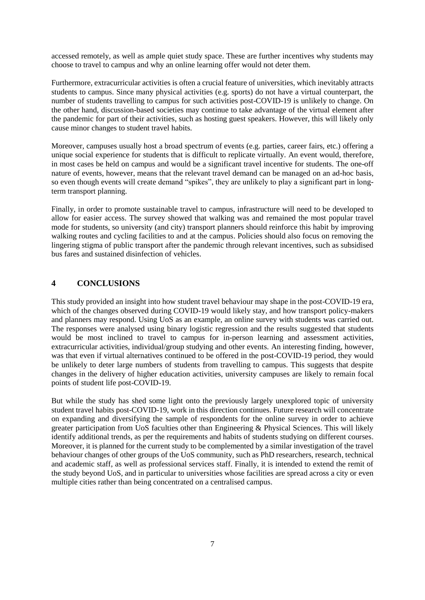accessed remotely, as well as ample quiet study space. These are further incentives why students may choose to travel to campus and why an online learning offer would not deter them.

Furthermore, extracurricular activities is often a crucial feature of universities, which inevitably attracts students to campus. Since many physical activities (e.g. sports) do not have a virtual counterpart, the number of students travelling to campus for such activities post-COVID-19 is unlikely to change. On the other hand, discussion-based societies may continue to take advantage of the virtual element after the pandemic for part of their activities, such as hosting guest speakers. However, this will likely only cause minor changes to student travel habits.

Moreover, campuses usually host a broad spectrum of events (e.g. parties, career fairs, etc.) offering a unique social experience for students that is difficult to replicate virtually. An event would, therefore, in most cases be held on campus and would be a significant travel incentive for students. The one-off nature of events, however, means that the relevant travel demand can be managed on an ad-hoc basis, so even though events will create demand "spikes", they are unlikely to play a significant part in longterm transport planning.

Finally, in order to promote sustainable travel to campus, infrastructure will need to be developed to allow for easier access. The survey showed that walking was and remained the most popular travel mode for students, so university (and city) transport planners should reinforce this habit by improving walking routes and cycling facilities to and at the campus. Policies should also focus on removing the lingering stigma of public transport after the pandemic through relevant incentives, such as subsidised bus fares and sustained disinfection of vehicles.

### **4 CONCLUSIONS**

This study provided an insight into how student travel behaviour may shape in the post-COVID-19 era, which of the changes observed during COVID-19 would likely stay, and how transport policy-makers and planners may respond. Using UoS as an example, an online survey with students was carried out. The responses were analysed using binary logistic regression and the results suggested that students would be most inclined to travel to campus for in-person learning and assessment activities, extracurricular activities, individual/group studying and other events. An interesting finding, however, was that even if virtual alternatives continued to be offered in the post-COVID-19 period, they would be unlikely to deter large numbers of students from travelling to campus. This suggests that despite changes in the delivery of higher education activities, university campuses are likely to remain focal points of student life post-COVID-19.

But while the study has shed some light onto the previously largely unexplored topic of university student travel habits post-COVID-19, work in this direction continues. Future research will concentrate on expanding and diversifying the sample of respondents for the online survey in order to achieve greater participation from UoS faculties other than Engineering & Physical Sciences. This will likely identify additional trends, as per the requirements and habits of students studying on different courses. Moreover, it is planned for the current study to be complemented by a similar investigation of the travel behaviour changes of other groups of the UoS community, such as PhD researchers, research, technical and academic staff, as well as professional services staff. Finally, it is intended to extend the remit of the study beyond UoS, and in particular to universities whose facilities are spread across a city or even multiple cities rather than being concentrated on a centralised campus.